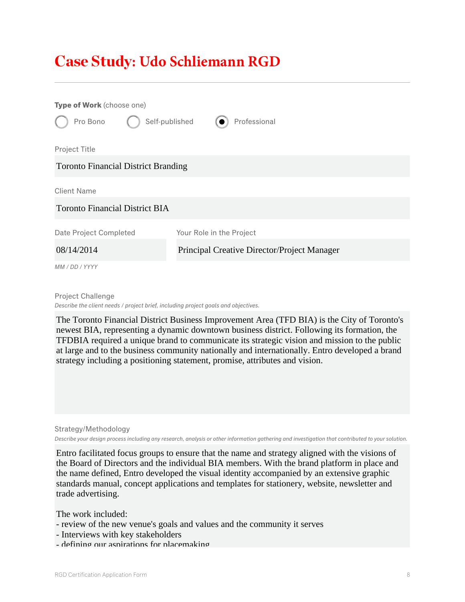## Case Study**: Udo Schliemann RGD**

| Type of Work (choose one)                  |                                             |  |  |
|--------------------------------------------|---------------------------------------------|--|--|
| Self-published<br>Pro Bono                 | Professional                                |  |  |
| Project Title                              |                                             |  |  |
| <b>Toronto Financial District Branding</b> |                                             |  |  |
| <b>Client Name</b>                         |                                             |  |  |
| <b>Toronto Financial District BIA</b>      |                                             |  |  |
| Date Project Completed                     | Your Role in the Project                    |  |  |
| 08/14/2014                                 | Principal Creative Director/Project Manager |  |  |
| MM / DD / YYYY                             |                                             |  |  |

Project Challenge *Describe the client needs / project brief, including project goals and objectives.*

The Toronto Financial District Business Improvement Area (TFD BIA) is the City of Toronto's newest BIA, representing a dynamic downtown business district. Following its formation, the TFDBIA required a unique brand to communicate its strategic vision and mission to the public at large and to the business community nationally and internationally. Entro developed a brand strategy including a positioning statement, promise, attributes and vision.

Strategy/Methodology *Describe your design process including any research, analysis or other information gathering and investigation that contributed to your solution.*

Entro facilitated focus groups to ensure that the name and strategy aligned with the visions of the Board of Directors and the individual BIA members. With the brand platform in place and the name defined, Entro developed the visual identity accompanied by an extensive graphic standards manual, concept applications and templates for stationery, website, newsletter and trade advertising.

The work included:

- review of the new venue's goals and values and the community it serves
- Interviews with key stakeholders
- defining our aspirations for placemaking